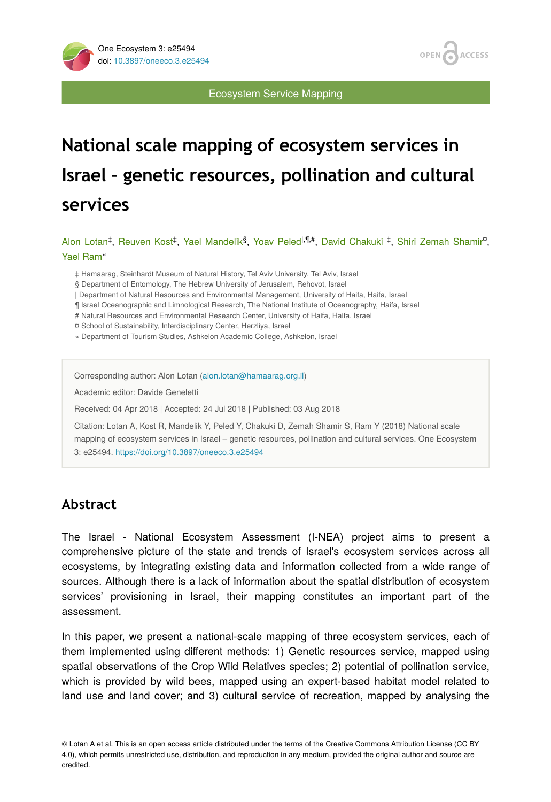

Ecosystem Service Mapping

# **National scale mapping of ecosystem services in Israel – genetic resources, pollination and cultural services**

Alon Lotan<sup>‡</sup>, Reuven Kost<sup>‡</sup>, Yael Mandelik<sup>§</sup>, Yoav Peled<sup>|,¶,#</sup>, David Chakuki <sup>‡</sup>, Shiri Zemah Shamir<sup>n</sup>, Yael Ram «

‡ Hamaarag, Steinhardt Museum of Natural History, Tel Aviv University, Tel Aviv, Israel

§ Department of Entomology, The Hebrew University of Jerusalem, Rehovot, Israel

| Department of Natural Resources and Environmental Management, University of Haifa, Haifa, Israel

¶ Israel Oceanographic and Limnological Research, The National Institute of Oceanography, Haifa, Israel

# Natural Resources and Environmental Research Center, University of Haifa, Haifa, Israel

¤ School of Sustainability, Interdisciplinary Center, Herzliya, Israel

« Department of Tourism Studies, Ashkelon Academic College, Ashkelon, Israel

Corresponding author: Alon Lotan ([alon.lotan@hamaarag.org.il\)](mailto:alon.lotan@hamaarag.org.il)

Academic editor: Davide Geneletti

Received: 04 Apr 2018 | Accepted: 24 Jul 2018 | Published: 03 Aug 2018

Citation: Lotan A, Kost R, Mandelik Y, Peled Y, Chakuki D, Zemah Shamir S, Ram Y (2018) National scale mapping of ecosystem services in Israel – genetic resources, pollination and cultural services. One Ecosystem 3: e25494. <https://doi.org/10.3897/oneeco.3.e25494>

## **Abstract**

The Israel - National Ecosystem Assessment (I-NEA) project aims to present a comprehensive picture of the state and trends of Israel's ecosystem services across all ecosystems, by integrating existing data and information collected from a wide range of sources. Although there is a lack of information about the spatial distribution of ecosystem services' provisioning in Israel, their mapping constitutes an important part of the assessment.

In this paper, we present a national-scale mapping of three ecosystem services, each of them implemented using different methods: 1) Genetic resources service, mapped using spatial observations of the Crop Wild Relatives species; 2) potential of pollination service, which is provided by wild bees, mapped using an expert-based habitat model related to land use and land cover; and 3) cultural service of recreation, mapped by analysing the

© Lotan A et al. This is an open access article distributed under the terms of the Creative Commons Attribution License (CC BY 4.0), which permits unrestricted use, distribution, and reproduction in any medium, provided the original author and source are credited.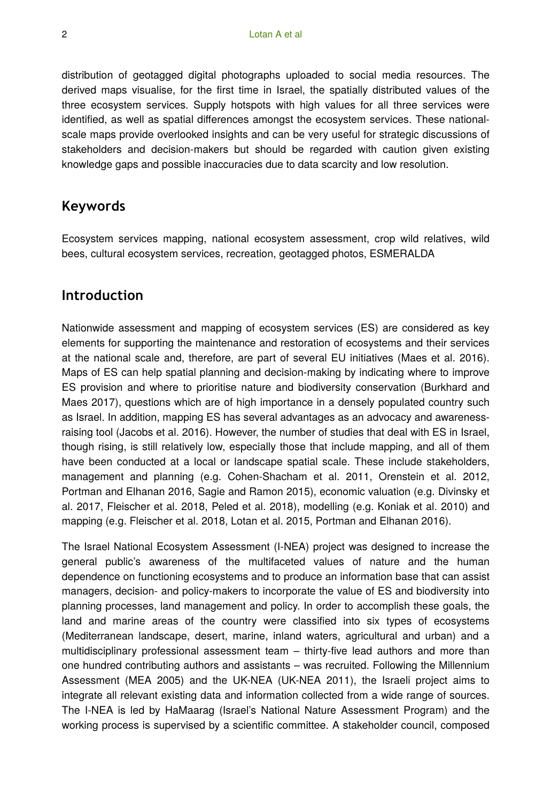distribution of geotagged digital photographs uploaded to social media resources. The derived maps visualise, for the first time in Israel, the spatially distributed values of the three ecosystem services. Supply hotspots with high values for all three services were identified, as well as spatial differences amongst the ecosystem services. These nationalscale maps provide overlooked insights and can be very useful for strategic discussions of stakeholders and decision-makers but should be regarded with caution given existing knowledge gaps and possible inaccuracies due to data scarcity and low resolution.

## **Keywords**

Ecosystem services mapping, national ecosystem assessment, crop wild relatives, wild bees, cultural ecosystem services, recreation, geotagged photos, ESMERALDA

## **Introduction**

Nationwide assessment and mapping of ecosystem services (ES) are considered as key elements for supporting the maintenance and restoration of ecosystems and their services at the national scale and, therefore, are part of several EU initiatives (Maes et al. 2016). Maps of ES can help spatial planning and decision-making by indicating where to improve ES provision and where to prioritise nature and biodiversity conservation (Burkhard and Maes 2017), questions which are of high importance in a densely populated country such as Israel. In addition, mapping ES has several advantages as an advocacy and awarenessraising tool (Jacobs et al. 2016). However, the number of studies that deal with ES in Israel, though rising, is still relatively low, especially those that include mapping, and all of them have been conducted at a local or landscape spatial scale. These include stakeholders, management and planning (e.g. Cohen-Shacham et al. 2011, Orenstein et al. 2012, Portman and Elhanan 2016, Sagie and Ramon 2015), economic valuation (e.g. Divinsky et al. 2017, Fleischer et al. 2018, Peled et al. 2018), modelling (e.g. Koniak et al. 2010) and mapping (e.g. Fleischer et al. 2018, Lotan et al. 2015, Portman and Elhanan 2016).

The Israel National Ecosystem Assessment (I-NEA) project was designed to increase the general public's awareness of the multifaceted values of nature and the human dependence on functioning ecosystems and to produce an information base that can assist managers, decision- and policy-makers to incorporate the value of ES and biodiversity into planning processes, land management and policy. In order to accomplish these goals, the land and marine areas of the country were classified into six types of ecosystems (Mediterranean landscape, desert, marine, inland waters, agricultural and urban) and a multidisciplinary professional assessment team – thirty-five lead authors and more than one hundred contributing authors and assistants – was recruited. Following the Millennium Assessment (MEA 2005) and the UK-NEA (UK-NEA 2011), the Israeli project aims to integrate all relevant existing data and information collected from a wide range of sources. The I-NEA is led by HaMaarag (Israel's National Nature Assessment Program) and the working process is supervised by a scientific committee. A stakeholder council, composed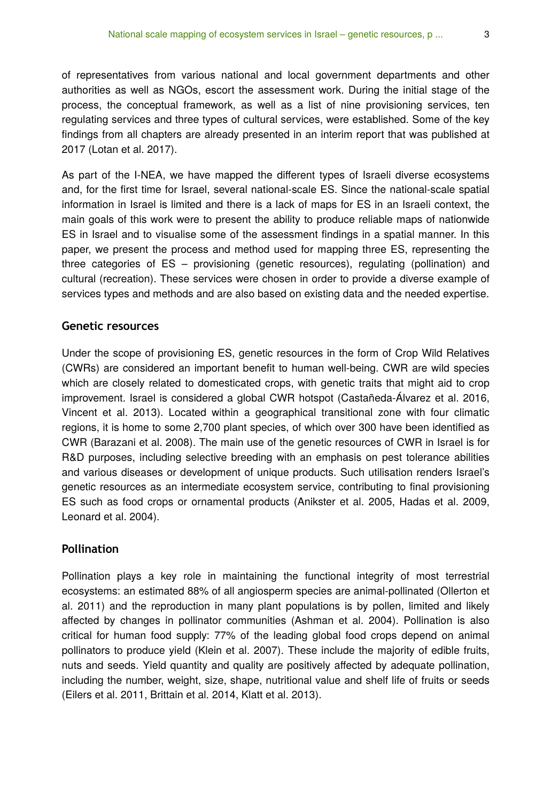of representatives from various national and local government departments and other authorities as well as NGOs, escort the assessment work. During the initial stage of the process, the conceptual framework, as well as a list of nine provisioning services, ten regulating services and three types of cultural services, were established. Some of the key findings from all chapters are already presented in an interim report that was published at 2017 (Lotan et al. 2017).

As part of the I-NEA, we have mapped the different types of Israeli diverse ecosystems and, for the first time for Israel, several national-scale ES. Since the national-scale spatial information in Israel is limited and there is a lack of maps for ES in an Israeli context, the main goals of this work were to present the ability to produce reliable maps of nationwide ES in Israel and to visualise some of the assessment findings in a spatial manner. In this paper, we present the process and method used for mapping three ES, representing the three categories of ES – provisioning (genetic resources), regulating (pollination) and cultural (recreation). These services were chosen in order to provide a diverse example of services types and methods and are also based on existing data and the needed expertise.

#### **Genetic resources**

Under the scope of provisioning ES, genetic resources in the form of Crop Wild Relatives (CWRs) are considered an important benefit to human well-being. CWR are wild species which are closely related to domesticated crops, with genetic traits that might aid to crop improvement. Israel is considered a global CWR hotspot (Castañeda-Álvarez et al. 2016, Vincent et al. 2013). Located within a geographical transitional zone with four climatic regions, it is home to some 2,700 plant species, of which over 300 have been identified as CWR (Barazani et al. 2008). The main use of the genetic resources of CWR in Israel is for R&D purposes, including selective breeding with an emphasis on pest tolerance abilities and various diseases or development of unique products. Such utilisation renders Israel's genetic resources as an intermediate ecosystem service, contributing to final provisioning ES such as food crops or ornamental products (Anikster et al. 2005, Hadas et al. 2009, Leonard et al. 2004).

#### **Pollination**

Pollination plays a key role in maintaining the functional integrity of most terrestrial ecosystems: an estimated 88% of all angiosperm species are animal-pollinated (Ollerton et al. 2011) and the reproduction in many plant populations is by pollen, limited and likely affected by changes in pollinator communities (Ashman et al. 2004). Pollination is also critical for human food supply: 77% of the leading global food crops depend on animal pollinators to produce yield (Klein et al. 2007). These include the majority of edible fruits, nuts and seeds. Yield quantity and quality are positively affected by adequate pollination, including the number, weight, size, shape, nutritional value and shelf life of fruits or seeds (Eilers et al. 2011, Brittain et al. 2014, Klatt et al. 2013).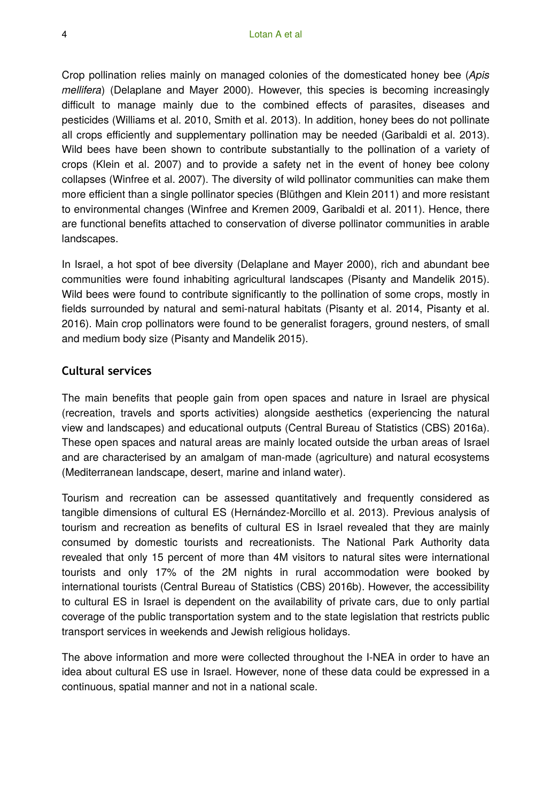Crop pollination relies mainly on managed colonies of the domesticated honey bee (*Apis mellifera*) (Delaplane and Mayer 2000). However, this species is becoming increasingly difficult to manage mainly due to the combined effects of parasites, diseases and pesticides (Williams et al. 2010, Smith et al. 2013). In addition, honey bees do not pollinate all crops efficiently and supplementary pollination may be needed (Garibaldi et al. 2013). Wild bees have been shown to contribute substantially to the pollination of a variety of crops (Klein et al. 2007) and to provide a safety net in the event of honey bee colony collapses (Winfree et al. 2007). The diversity of wild pollinator communities can make them more efficient than a single pollinator species (Blüthgen and Klein 2011) and more resistant to environmental changes (Winfree and Kremen 2009, Garibaldi et al. 2011). Hence, there are functional benefits attached to conservation of diverse pollinator communities in arable landscapes.

In Israel, a hot spot of bee diversity (Delaplane and Mayer 2000), rich and abundant bee communities were found inhabiting agricultural landscapes (Pisanty and Mandelik 2015). Wild bees were found to contribute significantly to the pollination of some crops, mostly in fields surrounded by natural and semi-natural habitats (Pisanty et al. 2014, Pisanty et al. 2016). Main crop pollinators were found to be generalist foragers, ground nesters, of small and medium body size (Pisanty and Mandelik 2015).

### **Cultural services**

The main benefits that people gain from open spaces and nature in Israel are physical (recreation, travels and sports activities) alongside aesthetics (experiencing the natural view and landscapes) and educational outputs (Central Bureau of Statistics (CBS) 2016a). These open spaces and natural areas are mainly located outside the urban areas of Israel and are characterised by an amalgam of man-made (agriculture) and natural ecosystems (Mediterranean landscape, desert, marine and inland water).

Tourism and recreation can be assessed quantitatively and frequently considered as tangible dimensions of cultural ES (Hernández-Morcillo et al. 2013). Previous analysis of tourism and recreation as benefits of cultural ES in Israel revealed that they are mainly consumed by domestic tourists and recreationists. The National Park Authority data revealed that only 15 percent of more than 4M visitors to natural sites were international tourists and only 17% of the 2M nights in rural accommodation were booked by international tourists (Central Bureau of Statistics (CBS) 2016b). However, the accessibility to cultural ES in Israel is dependent on the availability of private cars, due to only partial coverage of the public transportation system and to the state legislation that restricts public transport services in weekends and Jewish religious holidays.

The above information and more were collected throughout the I-NEA in order to have an idea about cultural ES use in Israel. However, none of these data could be expressed in a continuous, spatial manner and not in a national scale.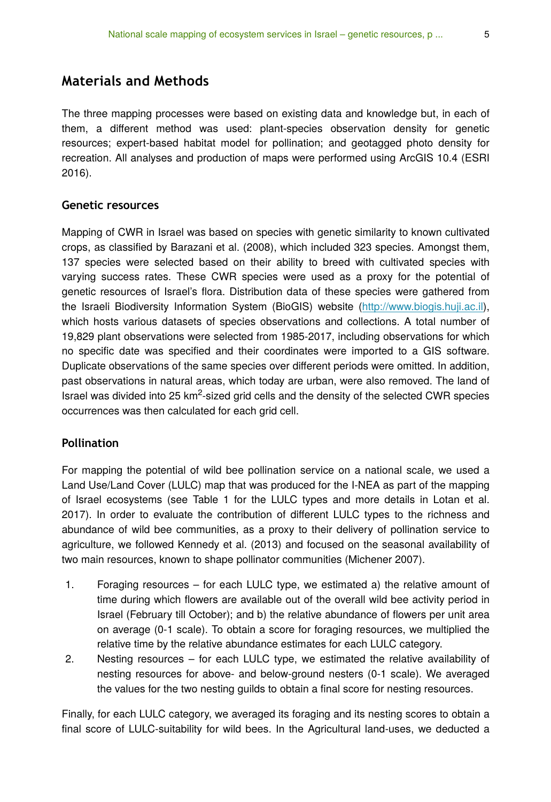## **Materials and Methods**

The three mapping processes were based on existing data and knowledge but, in each of them, a different method was used: plant-species observation density for genetic resources; expert-based habitat model for pollination; and geotagged photo density for recreation. All analyses and production of maps were performed using ArcGIS 10.4 (ESRI 2016).

#### **Genetic resources**

Mapping of CWR in Israel was based on species with genetic similarity to known cultivated crops, as classified by Barazani et al. (2008), which included 323 species. Amongst them, 137 species were selected based on their ability to breed with cultivated species with varying success rates. These CWR species were used as a proxy for the potential of genetic resources of Israel's flora. Distribution data of these species were gathered from the Israeli Biodiversity Information System (BioGIS) website [\(http://www.biogis.huji.ac.il\)](http://www.biogis.huji.ac.il), which hosts various datasets of species observations and collections. A total number of 19,829 plant observations were selected from 1985-2017, including observations for which no specific date was specified and their coordinates were imported to a GIS software. Duplicate observations of the same species over different periods were omitted. In addition, past observations in natural areas, which today are urban, were also removed. The land of Israel was divided into 25  $km<sup>2</sup>$ -sized grid cells and the density of the selected CWR species occurrences was then calculated for each grid cell.

### **Pollination**

For mapping the potential of wild bee pollination service on a national scale, we used a Land Use/Land Cover (LULC) map that was produced for the I-NEA as part of the mapping of Israel ecosystems (see Table 1 for the LULC types and more details in Lotan et al. 2017). In order to evaluate the contribution of different LULC types to the richness and abundance of wild bee communities, as a proxy to their delivery of pollination service to agriculture, we followed Kennedy et al. (2013) and focused on the seasonal availability of two main resources, known to shape pollinator communities (Michener 2007).

- 1. Foraging resources for each LULC type, we estimated a) the relative amount of time during which flowers are available out of the overall wild bee activity period in Israel (February till October); and b) the relative abundance of flowers per unit area on average (0-1 scale). To obtain a score for foraging resources, we multiplied the relative time by the relative abundance estimates for each LULC category.
- 2. Nesting resources for each LULC type, we estimated the relative availability of nesting resources for above- and below-ground nesters (0-1 scale). We averaged the values for the two nesting guilds to obtain a final score for nesting resources.

Finally, for each LULC category, we averaged its foraging and its nesting scores to obtain a final score of LULC-suitability for wild bees. In the Agricultural land-uses, we deducted a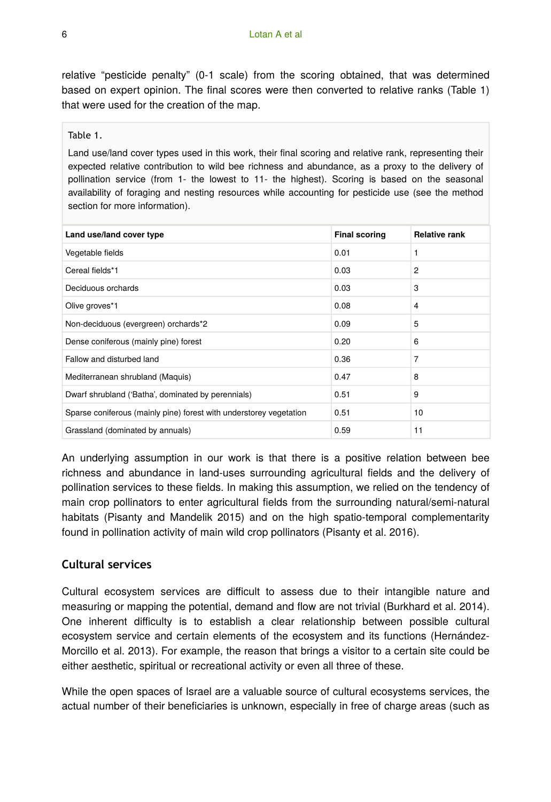relative "pesticide penalty" (0-1 scale) from the scoring obtained, that was determined based on expert opinion. The final scores were then converted to relative ranks (Table 1) that were used for the creation of the map.

Table 1.

Land use/land cover types used in this work, their final scoring and relative rank, representing their expected relative contribution to wild bee richness and abundance, as a proxy to the delivery of pollination service (from 1- the lowest to 11- the highest). Scoring is based on the seasonal availability of foraging and nesting resources while accounting for pesticide use (see the method section for more information).

| Land use/land cover type                                           | <b>Final scoring</b> | <b>Relative rank</b> |
|--------------------------------------------------------------------|----------------------|----------------------|
| Vegetable fields                                                   | 0.01                 | 1                    |
| Cereal fields*1                                                    | 0.03                 | $\overline{2}$       |
| Deciduous orchards                                                 | 0.03                 | 3                    |
| Olive groves*1                                                     | 0.08                 | $\overline{4}$       |
| Non-deciduous (evergreen) orchards*2                               | 0.09                 | 5                    |
| Dense coniferous (mainly pine) forest                              | 0.20                 | 6                    |
| Fallow and disturbed land                                          | 0.36                 | 7                    |
| Mediterranean shrubland (Maquis)                                   | 0.47                 | 8                    |
| Dwarf shrubland ('Batha', dominated by perennials)                 | 0.51                 | 9                    |
| Sparse coniferous (mainly pine) forest with understorey vegetation | 0.51                 | 10                   |
| Grassland (dominated by annuals)                                   | 0.59                 | 11                   |

An underlying assumption in our work is that there is a positive relation between bee richness and abundance in land-uses surrounding agricultural fields and the delivery of pollination services to these fields. In making this assumption, we relied on the tendency of main crop pollinators to enter agricultural fields from the surrounding natural/semi-natural habitats (Pisanty and Mandelik 2015) and on the high spatio-temporal complementarity found in pollination activity of main wild crop pollinators (Pisanty et al. 2016).

#### **Cultural services**

Cultural ecosystem services are difficult to assess due to their intangible nature and measuring or mapping the potential, demand and flow are not trivial (Burkhard et al. 2014). One inherent difficulty is to establish a clear relationship between possible cultural ecosystem service and certain elements of the ecosystem and its functions (Hernández-Morcillo et al. 2013). For example, the reason that brings a visitor to a certain site could be either aesthetic, spiritual or recreational activity or even all three of these.

While the open spaces of Israel are a valuable source of cultural ecosystems services, the actual number of their beneficiaries is unknown, especially in free of charge areas (such as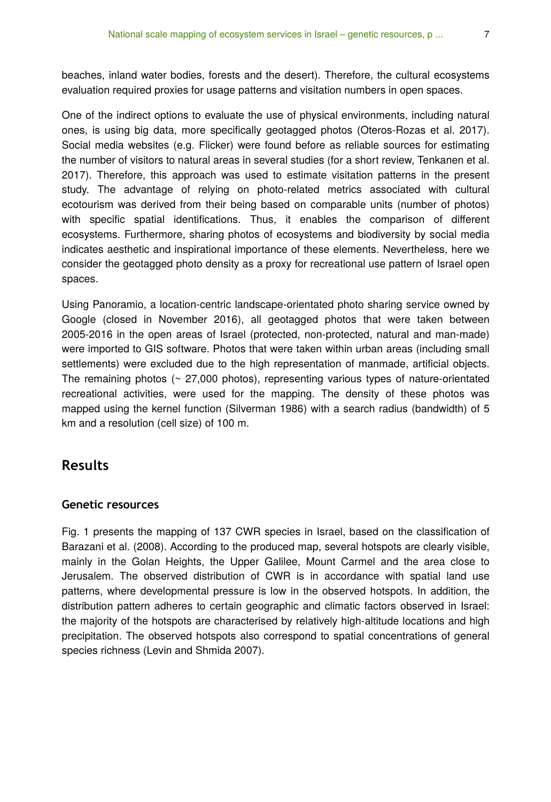beaches, inland water bodies, forests and the desert). Therefore, the cultural ecosystems evaluation required proxies for usage patterns and visitation numbers in open spaces.

One of the indirect options to evaluate the use of physical environments, including natural ones, is using big data, more specifically geotagged photos (Oteros-Rozas et al. 2017). Social media websites (e.g. Flicker) were found before as reliable sources for estimating the number of visitors to natural areas in several studies (for a short review, Tenkanen et al. 2017). Therefore, this approach was used to estimate visitation patterns in the present study. The advantage of relying on photo-related metrics associated with cultural ecotourism was derived from their being based on comparable units (number of photos) with specific spatial identifications. Thus, it enables the comparison of different ecosystems. Furthermore, sharing photos of ecosystems and biodiversity by social media indicates aesthetic and inspirational importance of these elements. Nevertheless, here we consider the geotagged photo density as a proxy for recreational use pattern of Israel open spaces.

Using Panoramio, a location-centric landscape-orientated photo sharing service owned by Google (closed in November 2016), all geotagged photos that were taken between 2005-2016 in the open areas of Israel (protected, non-protected, natural and man-made) were imported to GIS software. Photos that were taken within urban areas (including small settlements) were excluded due to the high representation of manmade, artificial objects. The remaining photos  $($   $\sim$  27,000 photos), representing various types of nature-orientated recreational activities, were used for the mapping. The density of these photos was mapped using the kernel function (Silverman 1986) with a search radius (bandwidth) of 5 km and a resolution (cell size) of 100 m.

## **Results**

#### **Genetic resources**

Fig. 1 presents the mapping of 137 CWR species in Israel, based on the classification of Barazani et al. (2008). According to the produced map, several hotspots are clearly visible, mainly in the Golan Heights, the Upper Galilee, Mount Carmel and the area close to Jerusalem. The observed distribution of CWR is in accordance with spatial land use patterns, where developmental pressure is low in the observed hotspots. In addition, the distribution pattern adheres to certain geographic and climatic factors observed in Israel: the majority of the hotspots are characterised by relatively high-altitude locations and high precipitation. The observed hotspots also correspond to spatial concentrations of general species richness (Levin and Shmida 2007).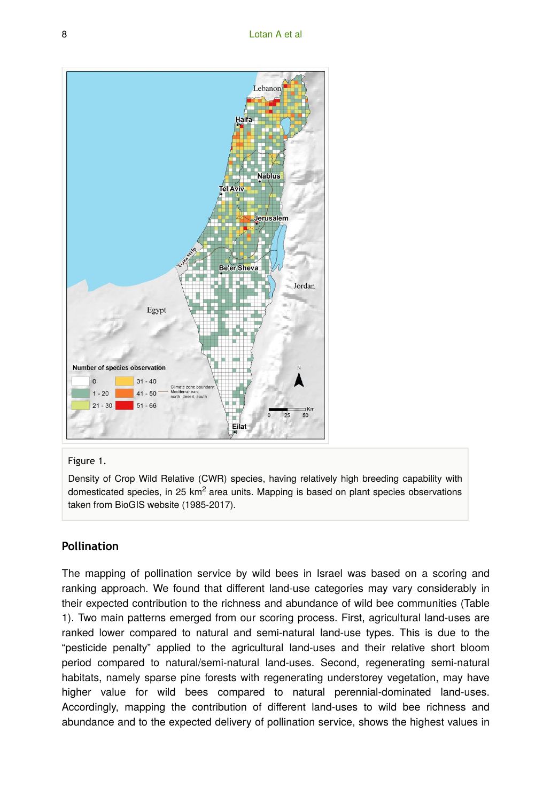

#### Figure 1.

Density of Crop Wild Relative (CWR) species, having relatively high breeding capability with domesticated species, in 25 km<sup>2</sup> area units. Mapping is based on plant species observations taken from BioGIS website (1985-2017).

## **Pollination**

The mapping of pollination service by wild bees in Israel was based on a scoring and ranking approach. We found that different land-use categories may vary considerably in their expected contribution to the richness and abundance of wild bee communities (Table 1). Two main patterns emerged from our scoring process. First, agricultural land-uses are ranked lower compared to natural and semi-natural land-use types. This is due to the "pesticide penalty" applied to the agricultural land-uses and their relative short bloom period compared to natural/semi-natural land-uses. Second, regenerating semi-natural habitats, namely sparse pine forests with regenerating understorey vegetation, may have higher value for wild bees compared to natural perennial-dominated land-uses. Accordingly, mapping the contribution of different land-uses to wild bee richness and abundance and to the expected delivery of pollination service, shows the highest values in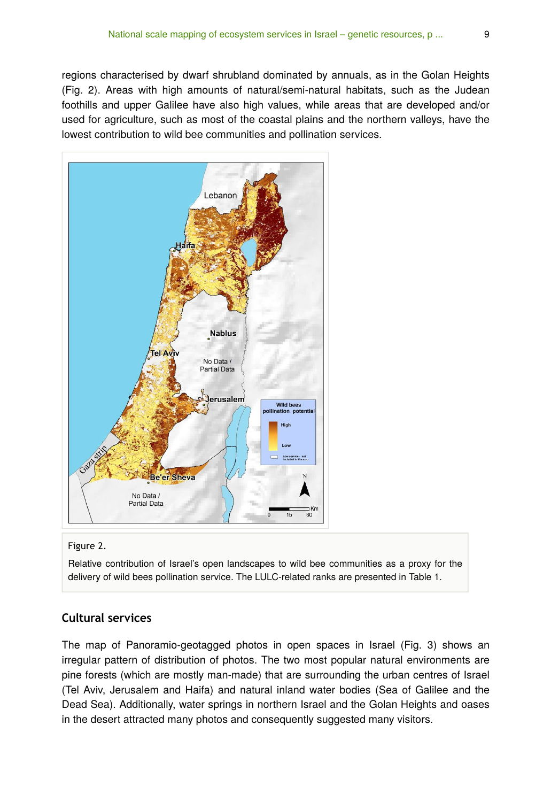regions characterised by dwarf shrubland dominated by annuals, as in the Golan Heights (Fig. 2). Areas with high amounts of natural/semi-natural habitats, such as the Judean foothills and upper Galilee have also high values, while areas that are developed and/or used for agriculture, such as most of the coastal plains and the northern valleys, have the lowest contribution to wild bee communities and pollination services.



#### Figure 2.

Relative contribution of Israel's open landscapes to wild bee communities as a proxy for the delivery of wild bees pollination service. The LULC-related ranks are presented in Table 1.

#### **Cultural services**

The map of Panoramio-geotagged photos in open spaces in Israel (Fig. 3) shows an irregular pattern of distribution of photos. The two most popular natural environments are pine forests (which are mostly man-made) that are surrounding the urban centres of Israel (Tel Aviv, Jerusalem and Haifa) and natural inland water bodies (Sea of Galilee and the Dead Sea). Additionally, water springs in northern Israel and the Golan Heights and oases in the desert attracted many photos and consequently suggested many visitors.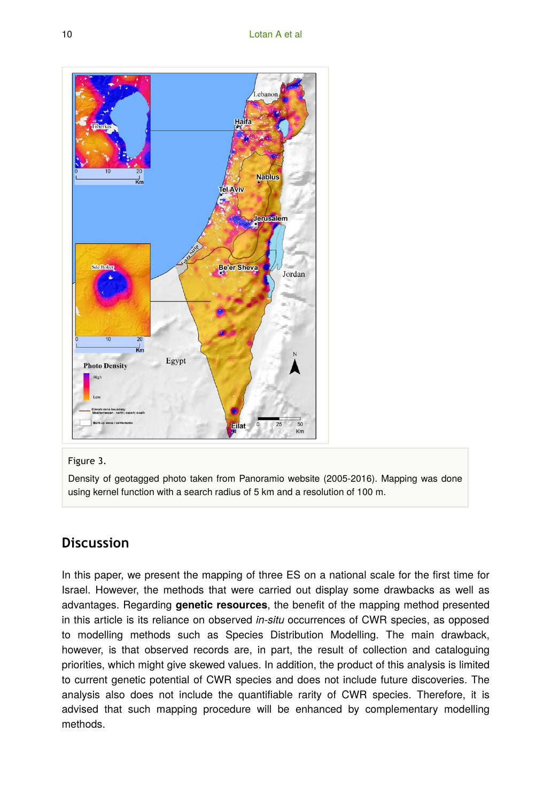

#### Figure 3.

Density of geotagged photo taken from Panoramio website (2005-2016). Mapping was done using kernel function with a search radius of 5 km and a resolution of 100 m.

## **Discussion**

In this paper, we present the mapping of three ES on a national scale for the first time for Israel. However, the methods that were carried out display some drawbacks as well as advantages. Regarding **genetic resources**, the benefit of the mapping method presented in this article is its reliance on observed *in-situ* occurrences of CWR species, as opposed to modelling methods such as Species Distribution Modelling. The main drawback, however, is that observed records are, in part, the result of collection and cataloguing priorities, which might give skewed values. In addition, the product of this analysis is limited to current genetic potential of CWR species and does not include future discoveries. The analysis also does not include the quantifiable rarity of CWR species. Therefore, it is advised that such mapping procedure will be enhanced by complementary modelling methods.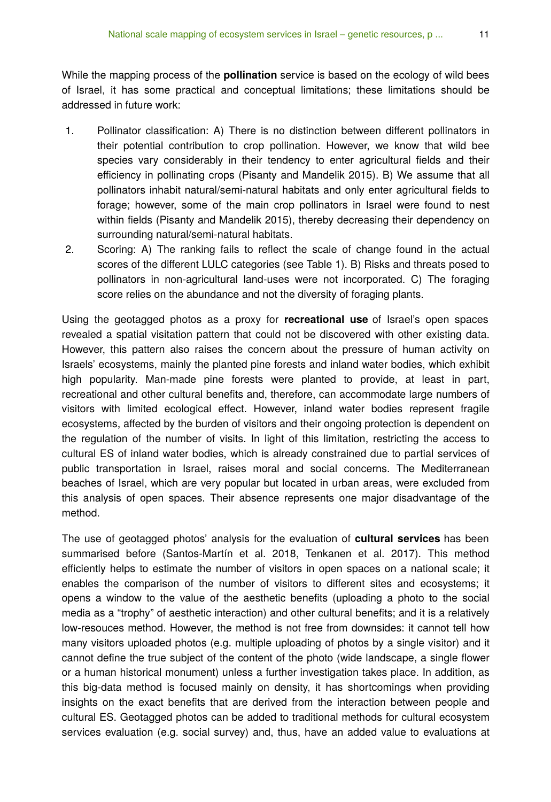While the mapping process of the **pollination** service is based on the ecology of wild bees of Israel, it has some practical and conceptual limitations; these limitations should be addressed in future work:

- 1. Pollinator classification: A) There is no distinction between different pollinators in their potential contribution to crop pollination. However, we know that wild bee species vary considerably in their tendency to enter agricultural fields and their efficiency in pollinating crops (Pisanty and Mandelik 2015). B) We assume that all pollinators inhabit natural/semi-natural habitats and only enter agricultural fields to forage; however, some of the main crop pollinators in Israel were found to nest within fields (Pisanty and Mandelik 2015), thereby decreasing their dependency on surrounding natural/semi-natural habitats.
- 2. Scoring: A) The ranking fails to reflect the scale of change found in the actual scores of the different LULC categories (see Table 1). B) Risks and threats posed to pollinators in non-agricultural land-uses were not incorporated. C) The foraging score relies on the abundance and not the diversity of foraging plants.

Using the geotagged photos as a proxy for **recreational use** of Israel's open spaces revealed a spatial visitation pattern that could not be discovered with other existing data. However, this pattern also raises the concern about the pressure of human activity on Israels' ecosystems, mainly the planted pine forests and inland water bodies, which exhibit high popularity. Man-made pine forests were planted to provide, at least in part, recreational and other cultural benefits and, therefore, can accommodate large numbers of visitors with limited ecological effect. However, inland water bodies represent fragile ecosystems, affected by the burden of visitors and their ongoing protection is dependent on the regulation of the number of visits. In light of this limitation, restricting the access to cultural ES of inland water bodies, which is already constrained due to partial services of public transportation in Israel, raises moral and social concerns. The Mediterranean beaches of Israel, which are very popular but located in urban areas, were excluded from this analysis of open spaces. Their absence represents one major disadvantage of the method.

The use of geotagged photos' analysis for the evaluation of **cultural services** has been summarised before (Santos-Martín et al. 2018, Tenkanen et al. 2017). This method efficiently helps to estimate the number of visitors in open spaces on a national scale; it enables the comparison of the number of visitors to different sites and ecosystems; it opens a window to the value of the aesthetic benefits (uploading a photo to the social media as a "trophy" of aesthetic interaction) and other cultural benefits; and it is a relatively low-resouces method. However, the method is not free from downsides: it cannot tell how many visitors uploaded photos (e.g. multiple uploading of photos by a single visitor) and it cannot define the true subject of the content of the photo (wide landscape, a single flower or a human historical monument) unless a further investigation takes place. In addition, as this big-data method is focused mainly on density, it has shortcomings when providing insights on the exact benefits that are derived from the interaction between people and cultural ES. Geotagged photos can be added to traditional methods for cultural ecosystem services evaluation (e.g. social survey) and, thus, have an added value to evaluations at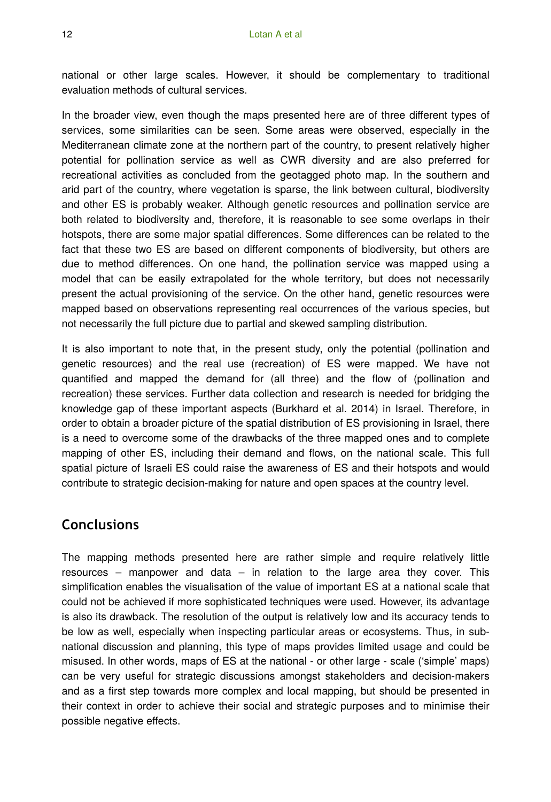national or other large scales. However, it should be complementary to traditional evaluation methods of cultural services.

In the broader view, even though the maps presented here are of three different types of services, some similarities can be seen. Some areas were observed, especially in the Mediterranean climate zone at the northern part of the country, to present relatively higher potential for pollination service as well as CWR diversity and are also preferred for recreational activities as concluded from the geotagged photo map. In the southern and arid part of the country, where vegetation is sparse, the link between cultural, biodiversity and other ES is probably weaker. Although genetic resources and pollination service are both related to biodiversity and, therefore, it is reasonable to see some overlaps in their hotspots, there are some major spatial differences. Some differences can be related to the fact that these two ES are based on different components of biodiversity, but others are due to method differences. On one hand, the pollination service was mapped using a model that can be easily extrapolated for the whole territory, but does not necessarily present the actual provisioning of the service. On the other hand, genetic resources were mapped based on observations representing real occurrences of the various species, but not necessarily the full picture due to partial and skewed sampling distribution.

It is also important to note that, in the present study, only the potential (pollination and genetic resources) and the real use (recreation) of ES were mapped. We have not quantified and mapped the demand for (all three) and the flow of (pollination and recreation) these services. Further data collection and research is needed for bridging the knowledge gap of these important aspects (Burkhard et al. 2014) in Israel. Therefore, in order to obtain a broader picture of the spatial distribution of ES provisioning in Israel, there is a need to overcome some of the drawbacks of the three mapped ones and to complete mapping of other ES, including their demand and flows, on the national scale. This full spatial picture of Israeli ES could raise the awareness of ES and their hotspots and would contribute to strategic decision-making for nature and open spaces at the country level.

## **Conclusions**

The mapping methods presented here are rather simple and require relatively little resources – manpower and data – in relation to the large area they cover. This simplification enables the visualisation of the value of important ES at a national scale that could not be achieved if more sophisticated techniques were used. However, its advantage is also its drawback. The resolution of the output is relatively low and its accuracy tends to be low as well, especially when inspecting particular areas or ecosystems. Thus, in subnational discussion and planning, this type of maps provides limited usage and could be misused. In other words, maps of ES at the national - or other large - scale ('simple' maps) can be very useful for strategic discussions amongst stakeholders and decision-makers and as a first step towards more complex and local mapping, but should be presented in their context in order to achieve their social and strategic purposes and to minimise their possible negative effects.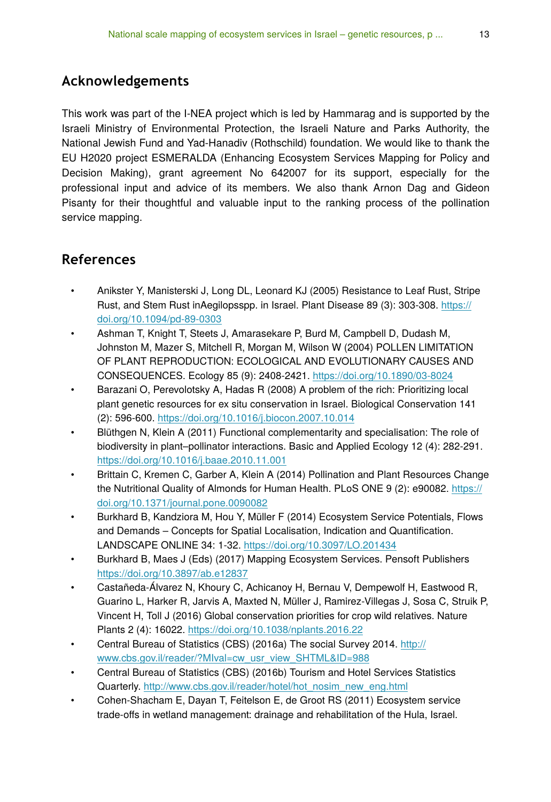## **Acknowledgements**

This work was part of the I-NEA project which is led by Hammarag and is supported by the Israeli Ministry of Environmental Protection, the Israeli Nature and Parks Authority, the National Jewish Fund and Yad-Hanadiv (Rothschild) foundation. We would like to thank the EU H2020 project ESMERALDA (Enhancing Ecosystem Services Mapping for Policy and Decision Making), grant agreement No 642007 for its support, especially for the professional input and advice of its members. We also thank Arnon Dag and Gideon Pisanty for their thoughtful and valuable input to the ranking process of the pollination service mapping.

## **References**

- Anikster Y, Manisterski J, Long DL, Leonard KJ (2005) Resistance to Leaf Rust, Stripe Rust, and Stem Rust inAegilopsspp. in Israel. Plant Disease 89 (3): 303-308. [https://](https://doi.org/10.1094/pd-89-0303) [doi.org/10.1094/pd-89-0303](https://doi.org/10.1094/pd-89-0303)
- Ashman T, Knight T, Steets J, Amarasekare P, Burd M, Campbell D, Dudash M, Johnston M, Mazer S, Mitchell R, Morgan M, Wilson W (2004) POLLEN LIMITATION OF PLANT REPRODUCTION: ECOLOGICAL AND EVOLUTIONARY CAUSES AND CONSEQUENCES. Ecology 85 (9): 2408‑2421.<https://doi.org/10.1890/03-8024>
- Barazani O, Perevolotsky A, Hadas R (2008) A problem of the rich: Prioritizing local plant genetic resources for ex situ conservation in Israel. Biological Conservation 141 (2): 596‑600. <https://doi.org/10.1016/j.biocon.2007.10.014>
- Blüthgen N, Klein A (2011) Functional complementarity and specialisation: The role of biodiversity in plant–pollinator interactions. Basic and Applied Ecology 12 (4): 282‑291. <https://doi.org/10.1016/j.baae.2010.11.001>
- Brittain C, Kremen C, Garber A, Klein A (2014) Pollination and Plant Resources Change the Nutritional Quality of Almonds for Human Health. PLoS ONE 9 (2): e90082. [https://](https://doi.org/10.1371/journal.pone.0090082) [doi.org/10.1371/journal.pone.0090082](https://doi.org/10.1371/journal.pone.0090082)
- Burkhard B, Kandziora M, Hou Y, Müller F (2014) Ecosystem Service Potentials, Flows and Demands – Concepts for Spatial Localisation, Indication and Quantification. LANDSCAPE ONLINE 34: 1‑32. <https://doi.org/10.3097/LO.201434>
- Burkhard B, Maes J (Eds) (2017) Mapping Ecosystem Services. Pensoft Publishers <https://doi.org/10.3897/ab.e12837>
- Castañeda-Álvarez N, Khoury C, Achicanoy H, Bernau V, Dempewolf H, Eastwood R, Guarino L, Harker R, Jarvis A, Maxted N, Müller J, Ramirez-Villegas J, Sosa C, Struik P, Vincent H, Toll J (2016) Global conservation priorities for crop wild relatives. Nature Plants 2 (4): 16022.<https://doi.org/10.1038/nplants.2016.22>
- Central Bureau of Statistics (CBS) (2016a) The social Survey 2014. [http://](http://www.cbs.gov.il/reader/?MIval=cw_usr_view_SHTML&ID=988) [www.cbs.gov.il/reader/?MIval=cw\\_usr\\_view\\_SHTML&ID=988](http://www.cbs.gov.il/reader/?MIval=cw_usr_view_SHTML&ID=988)
- Central Bureau of Statistics (CBS) (2016b) Tourism and Hotel Services Statistics Quarterly. [http://www.cbs.gov.il/reader/hotel/hot\\_nosim\\_new\\_eng.html](http://www.cbs.gov.il/reader/hotel/hot_nosim_new_eng.html)
- Cohen-Shacham E, Dayan T, Feitelson E, de Groot RS (2011) Ecosystem service trade-offs in wetland management: drainage and rehabilitation of the Hula, Israel.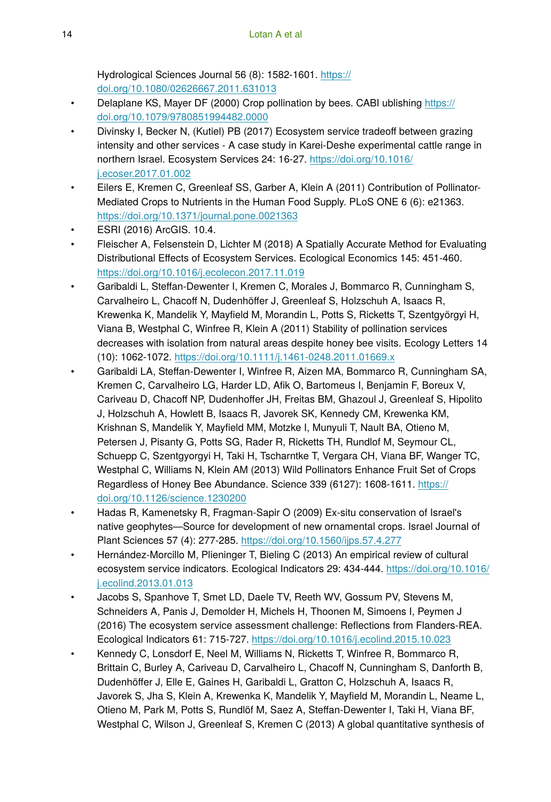Hydrological Sciences Journal 56 (8): 1582-1601. [https://](https://doi.org/10.1080/02626667.2011.631013) [doi.org/10.1080/02626667.2011.631013](https://doi.org/10.1080/02626667.2011.631013)

- Delaplane KS, Mayer DF (2000) Crop pollination by bees. CABI ublishing [https://](https://doi.org/10.1079/9780851994482.0000) [doi.org/10.1079/9780851994482.0000](https://doi.org/10.1079/9780851994482.0000)
- Divinsky I, Becker N, (Kutiel) PB (2017) Ecosystem service tradeoff between grazing intensity and other services - A case study in Karei-Deshe experimental cattle range in northern Israel. Ecosystem Services 24: 16‑27. [https://doi.org/10.1016/](https://doi.org/10.1016/j.ecoser.2017.01.002) [j.ecoser.2017.01.002](https://doi.org/10.1016/j.ecoser.2017.01.002)
- Eilers E, Kremen C, Greenleaf SS, Garber A, Klein A (2011) Contribution of Pollinator-Mediated Crops to Nutrients in the Human Food Supply. PLoS ONE 6 (6): e21363. <https://doi.org/10.1371/journal.pone.0021363>
- ESRI (2016) ArcGIS. 10.4.
- Fleischer A, Felsenstein D, Lichter M (2018) A Spatially Accurate Method for Evaluating Distributional Effects of Ecosystem Services. Ecological Economics 145: 451‑460. <https://doi.org/10.1016/j.ecolecon.2017.11.019>
- Garibaldi L, Steffan-Dewenter I, Kremen C, Morales J, Bommarco R, Cunningham S, Carvalheiro L, Chacoff N, Dudenhöffer J, Greenleaf S, Holzschuh A, Isaacs R, Krewenka K, Mandelik Y, Mayfield M, Morandin L, Potts S, Ricketts T, Szentgyörgyi H, Viana B, Westphal C, Winfree R, Klein A (2011) Stability of pollination services decreases with isolation from natural areas despite honey bee visits. Ecology Letters 14 (10): 1062‑1072.<https://doi.org/10.1111/j.1461-0248.2011.01669.x>
- Garibaldi LA, Steffan-Dewenter I, Winfree R, Aizen MA, Bommarco R, Cunningham SA, Kremen C, Carvalheiro LG, Harder LD, Afik O, Bartomeus I, Benjamin F, Boreux V, Cariveau D, Chacoff NP, Dudenhoffer JH, Freitas BM, Ghazoul J, Greenleaf S, Hipolito J, Holzschuh A, Howlett B, Isaacs R, Javorek SK, Kennedy CM, Krewenka KM, Krishnan S, Mandelik Y, Mayfield MM, Motzke I, Munyuli T, Nault BA, Otieno M, Petersen J, Pisanty G, Potts SG, Rader R, Ricketts TH, Rundlof M, Seymour CL, Schuepp C, Szentgyorgyi H, Taki H, Tscharntke T, Vergara CH, Viana BF, Wanger TC, Westphal C, Williams N, Klein AM (2013) Wild Pollinators Enhance Fruit Set of Crops Regardless of Honey Bee Abundance. Science 339 (6127): 1608-1611. [https://](https://doi.org/10.1126/science.1230200) [doi.org/10.1126/science.1230200](https://doi.org/10.1126/science.1230200)
- Hadas R, Kamenetsky R, Fragman-Sapir O (2009) Ex-situ conservation of Israel's native geophytes—Source for development of new ornamental crops. Israel Journal of Plant Sciences 57 (4): 277‑285. <https://doi.org/10.1560/ijps.57.4.277>
- Hernández-Morcillo M, Plieninger T, Bieling C (2013) An empirical review of cultural ecosystem service indicators. Ecological Indicators 29: 434-444. [https://doi.org/10.1016/](https://doi.org/10.1016/j.ecolind.2013.01.013) [j.ecolind.2013.01.013](https://doi.org/10.1016/j.ecolind.2013.01.013)
- Jacobs S, Spanhove T, Smet LD, Daele TV, Reeth WV, Gossum PV, Stevens M, Schneiders A, Panis J, Demolder H, Michels H, Thoonen M, Simoens I, Peymen J (2016) The ecosystem service assessment challenge: Reflections from Flanders-REA. Ecological Indicators 61: 715‑727. <https://doi.org/10.1016/j.ecolind.2015.10.023>
- Kennedy C, Lonsdorf E, Neel M, Williams N, Ricketts T, Winfree R, Bommarco R, Brittain C, Burley A, Cariveau D, Carvalheiro L, Chacoff N, Cunningham S, Danforth B, Dudenhöffer J, Elle E, Gaines H, Garibaldi L, Gratton C, Holzschuh A, Isaacs R, Javorek S, Jha S, Klein A, Krewenka K, Mandelik Y, Mayfield M, Morandin L, Neame L, Otieno M, Park M, Potts S, Rundlöf M, Saez A, Steffan-Dewenter I, Taki H, Viana BF, Westphal C, Wilson J, Greenleaf S, Kremen C (2013) A global quantitative synthesis of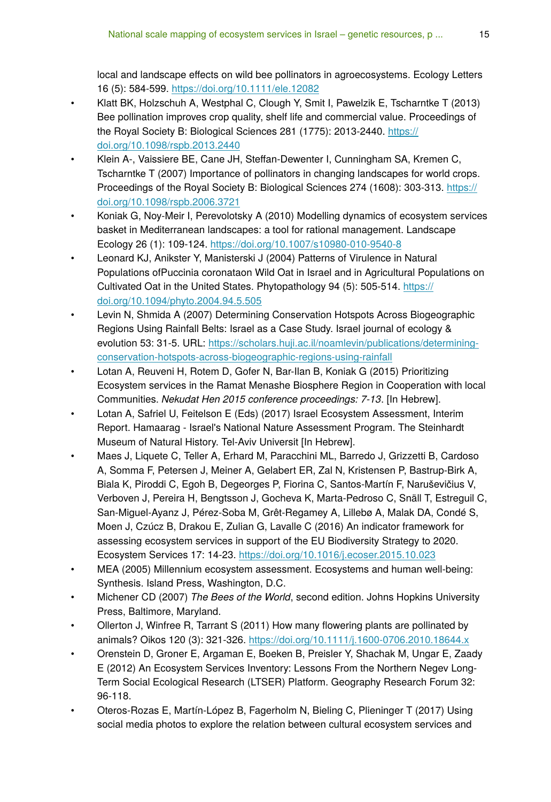local and landscape effects on wild bee pollinators in agroecosystems. Ecology Letters 16 (5): 584‑599. <https://doi.org/10.1111/ele.12082>

- Klatt BK, Holzschuh A, Westphal C, Clough Y, Smit I, Pawelzik E, Tscharntke T (2013) Bee pollination improves crop quality, shelf life and commercial value. Proceedings of the Royal Society B: Biological Sciences 281 (1775): 2013-2440. [https://](https://doi.org/10.1098/rspb.2013.2440) [doi.org/10.1098/rspb.2013.2440](https://doi.org/10.1098/rspb.2013.2440)
- Klein A-, Vaissiere BE, Cane JH, Steffan-Dewenter I, Cunningham SA, Kremen C, Tscharntke T (2007) Importance of pollinators in changing landscapes for world crops. Proceedings of the Royal Society B: Biological Sciences 274 (1608): 303-313. [https://](https://doi.org/10.1098/rspb.2006.3721) [doi.org/10.1098/rspb.2006.3721](https://doi.org/10.1098/rspb.2006.3721)
- Koniak G, Noy-Meir I, Perevolotsky A (2010) Modelling dynamics of ecosystem services basket in Mediterranean landscapes: a tool for rational management. Landscape Ecology 26 (1): 109‑124.<https://doi.org/10.1007/s10980-010-9540-8>
- Leonard KJ, Anikster Y, Manisterski J (2004) Patterns of Virulence in Natural Populations ofPuccinia coronataon Wild Oat in Israel and in Agricultural Populations on Cultivated Oat in the United States. Phytopathology 94 (5): 505-514. [https://](https://doi.org/10.1094/phyto.2004.94.5.505) [doi.org/10.1094/phyto.2004.94.5.505](https://doi.org/10.1094/phyto.2004.94.5.505)
- Levin N, Shmida A (2007) Determining Conservation Hotspots Across Biogeographic Regions Using Rainfall Belts: Israel as a Case Study. Israel journal of ecology & evolution 53: 31-5. URL: [https://scholars.huji.ac.il/noamlevin/publications/determining](https://scholars.huji.ac.il/noamlevin/publications/determining-conservation-hotspots-across-biogeographic-regions-using-rainfall)[conservation-hotspots-across-biogeographic-regions-using-rainfall](https://scholars.huji.ac.il/noamlevin/publications/determining-conservation-hotspots-across-biogeographic-regions-using-rainfall)
- Lotan A, Reuveni H, Rotem D, Gofer N, Bar-Ilan B, Koniak G (2015) Prioritizing Ecosystem services in the Ramat Menashe Biosphere Region in Cooperation with local Communities. *Nekudat Hen 2015 conference proceedings: 7-13*. [In Hebrew].
- Lotan A, Safriel U, Feitelson E (Eds) (2017) Israel Ecosystem Assessment, Interim Report. Hamaarag - Israel's National Nature Assessment Program. The Steinhardt Museum of Natural History. Tel-Aviv Universit [In Hebrew].
- Maes J, Liquete C, Teller A, Erhard M, Paracchini ML, Barredo J, Grizzetti B, Cardoso A, Somma F, Petersen J, Meiner A, Gelabert ER, Zal N, Kristensen P, Bastrup-Birk A, Biala K, Piroddi C, Egoh B, Degeorges P, Fiorina C, Santos-Martín F, Naruševičius V, Verboven J, Pereira H, Bengtsson J, Gocheva K, Marta-Pedroso C, Snäll T, Estreguil C, San-Miguel-Ayanz J, Pérez-Soba M, Grêt-Regamey A, Lillebø A, Malak DA, Condé S, Moen J, Czúcz B, Drakou E, Zulian G, Lavalle C (2016) An indicator framework for assessing ecosystem services in support of the EU Biodiversity Strategy to 2020. Ecosystem Services 17: 14‑23. <https://doi.org/10.1016/j.ecoser.2015.10.023>
- MEA (2005) Millennium ecosystem assessment. Ecosystems and human well-being: Synthesis. Island Press, Washington, D.C.
- Michener CD (2007) *The Bees of the World*, second edition. Johns Hopkins University Press, Baltimore, Maryland.
- Ollerton J, Winfree R, Tarrant S (2011) How many flowering plants are pollinated by animals? Oikos 120 (3): 321-326.<https://doi.org/10.1111/j.1600-0706.2010.18644.x>
- Orenstein D, Groner E, Argaman E, Boeken B, Preisler Y, Shachak M, Ungar E, Zaady E (2012) An Ecosystem Services Inventory: Lessons From the Northern Negev Long-Term Social Ecological Research (LTSER) Platform. Geography Research Forum 32: 96‑118.
- Oteros-Rozas E, Martín-López B, Fagerholm N, Bieling C, Plieninger T (2017) Using social media photos to explore the relation between cultural ecosystem services and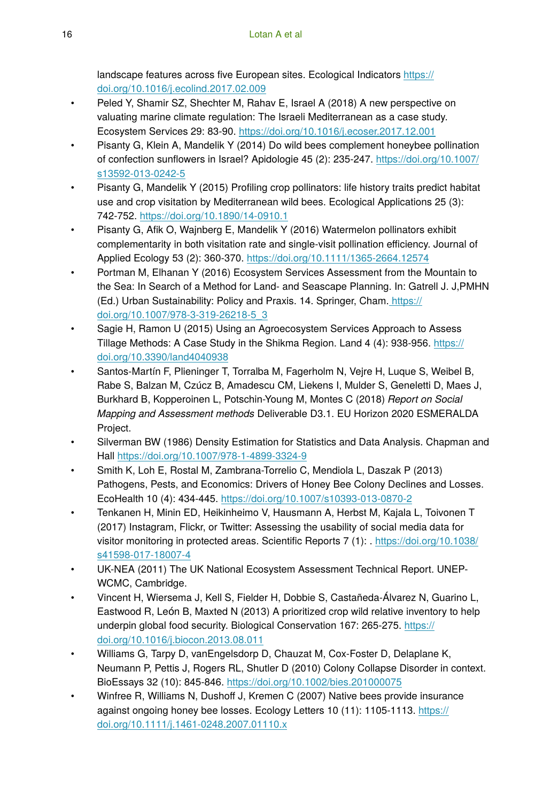landscape features across five European sites. Ecological Indicators [https://](https://doi.org/10.1016/j.ecolind.2017.02.009) [doi.org/10.1016/j.ecolind.2017.02.009](https://doi.org/10.1016/j.ecolind.2017.02.009)

- Peled Y, Shamir SZ, Shechter M, Rahav E, Israel A (2018) A new perspective on valuating marine climate regulation: The Israeli Mediterranean as a case study. Ecosystem Services 29: 83‑90. <https://doi.org/10.1016/j.ecoser.2017.12.001>
- Pisanty G, Klein A, Mandelik Y (2014) Do wild bees complement honeybee pollination of confection sunflowers in Israel? Apidologie 45 (2): 235‑247. [https://doi.org/10.1007/](https://doi.org/10.1007/s13592-013-0242-5) [s13592-013-0242-5](https://doi.org/10.1007/s13592-013-0242-5)
- Pisanty G, Mandelik Y (2015) Profiling crop pollinators: life history traits predict habitat use and crop visitation by Mediterranean wild bees. Ecological Applications 25 (3): 742‑752. <https://doi.org/10.1890/14-0910.1>
- Pisanty G, Afik O, Wajnberg E, Mandelik Y (2016) Watermelon pollinators exhibit complementarity in both visitation rate and single-visit pollination efficiency. Journal of Applied Ecology 53 (2): 360‑370.<https://doi.org/10.1111/1365-2664.12574>
- Portman M, Elhanan Y (2016) Ecosystem Services Assessment from the Mountain to the Sea: In Search of a Method for Land- and Seascape Planning. In: Gatrell J. J,PMHN (Ed.) Urban Sustainability: Policy and Praxis. 14. Springer, Cham. [https://](https://doi.org/10.1007/978-3-319-26218-5_3) [doi.org/10.1007/978-3-319-26218-5\\_3](https://doi.org/10.1007/978-3-319-26218-5_3)
- Sagie H, Ramon U (2015) Using an Agroecosystem Services Approach to Assess Tillage Methods: A Case Study in the Shikma Region. Land 4 (4): 938‑956. [https://](https://doi.org/10.3390/land4040938) [doi.org/10.3390/land4040938](https://doi.org/10.3390/land4040938)
- Santos-Martín F, Plieninger T, Torralba M, Fagerholm N, Vejre H, Luque S, Weibel B, Rabe S, Balzan M, Czúcz B, Amadescu CM, Liekens I, Mulder S, Geneletti D, Maes J, Burkhard B, Kopperoinen L, Potschin-Young M, Montes C (2018) *Report on Social Mapping and Assessment methods* Deliverable D3.1. EU Horizon 2020 ESMERALDA Project.
- Silverman BW (1986) Density Estimation for Statistics and Data Analysis. Chapman and Hall <https://doi.org/10.1007/978-1-4899-3324-9>
- Smith K, Loh E, Rostal M, Zambrana-Torrelio C, Mendiola L, Daszak P (2013) Pathogens, Pests, and Economics: Drivers of Honey Bee Colony Declines and Losses. EcoHealth 10 (4): 434‑445.<https://doi.org/10.1007/s10393-013-0870-2>
- Tenkanen H, Minin ED, Heikinheimo V, Hausmann A, Herbst M, Kajala L, Toivonen T (2017) Instagram, Flickr, or Twitter: Assessing the usability of social media data for visitor monitoring in protected areas. Scientific Reports 7 (1): . [https://doi.org/10.1038/](https://doi.org/10.1038/s41598-017-18007-4) [s41598-017-18007-4](https://doi.org/10.1038/s41598-017-18007-4)
- UK-NEA (2011) The UK National Ecosystem Assessment Technical Report. UNEP-WCMC, Cambridge.
- Vincent H, Wiersema J, Kell S, Fielder H, Dobbie S, Castañeda-Álvarez N, Guarino L, Eastwood R, Leόn B, Maxted N (2013) A prioritized crop wild relative inventory to help underpin global food security. Biological Conservation 167: 265-275. [https://](https://doi.org/10.1016/j.biocon.2013.08.011) [doi.org/10.1016/j.biocon.2013.08.011](https://doi.org/10.1016/j.biocon.2013.08.011)
- Williams G, Tarpy D, vanEngelsdorp D, Chauzat M, Cox-Foster D, Delaplane K, Neumann P, Pettis J, Rogers RL, Shutler D (2010) Colony Collapse Disorder in context. BioEssays 32 (10): 845‑846.<https://doi.org/10.1002/bies.201000075>
- Winfree R, Williams N, Dushoff J, Kremen C (2007) Native bees provide insurance against ongoing honey bee losses. Ecology Letters 10 (11): 1105-1113. [https://](https://doi.org/10.1111/j.1461-0248.2007.01110.x) [doi.org/10.1111/j.1461-0248.2007.01110.x](https://doi.org/10.1111/j.1461-0248.2007.01110.x)